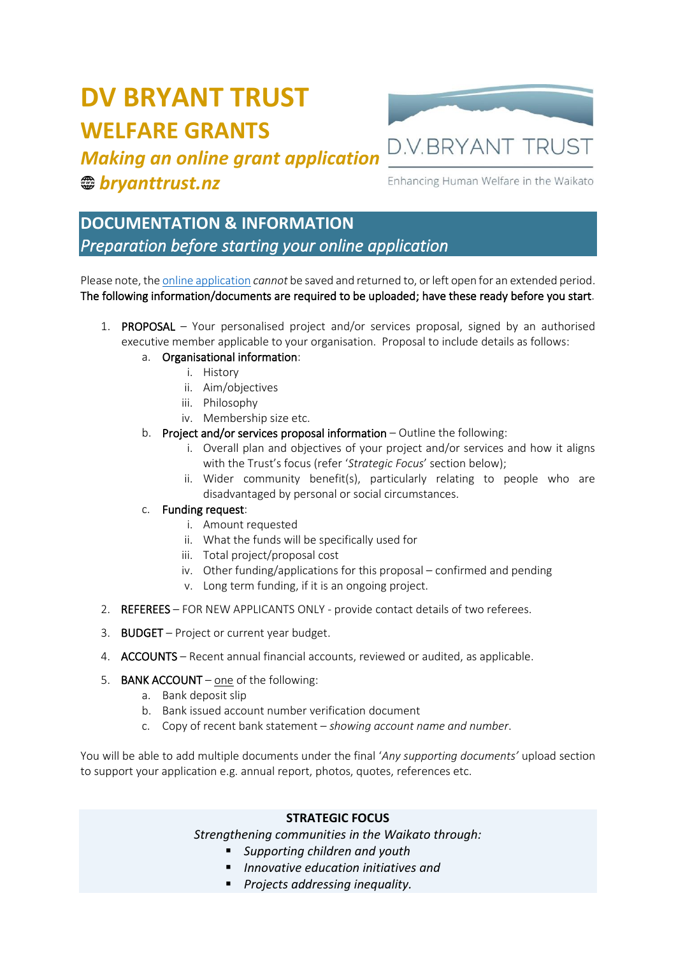# **DV BRYANT TRUST WELFARE GRANTS**



# *Making an online grant application bryanttrust.nz*

Enhancing Human Welfare in the Waikato

## **DOCUMENTATION & INFORMATION**  *Preparation before starting your online application*

Please note, th[e online application](https://www.bryanttrust.co.nz/apply-for-community-group-funding/) *cannot* be saved and returned to, or left open for an extended period. The following information/documents are required to be uploaded; have these ready before you start.

1. PROPOSAL – Your personalised project and/or services proposal, signed by an authorised executive member applicable to your organisation. Proposal to include details as follows:

### a. Organisational information:

- i. History
	- ii. Aim/objectives
	- iii. Philosophy
- iv. Membership size etc.
- b. Project and/or services proposal information Outline the following:
	- i. Overall plan and objectives of your project and/or services and how it aligns with the Trust's focus (refer '*Strategic Focus*' section below);
	- ii. Wider community benefit(s), particularly relating to people who are disadvantaged by personal or social circumstances.

#### c. Funding request:

- i. Amount requested
- ii. What the funds will be specifically used for
- iii. Total project/proposal cost
- iv. Other funding/applications for this proposal confirmed and pending
- v. Long term funding, if it is an ongoing project.
- 2. REFEREES FOR NEW APPLICANTS ONLY provide contact details of two referees.
- 3. BUDGET Project or current year budget.
- 4. ACCOUNTS Recent annual financial accounts, reviewed or audited, as applicable.
- 5. BANK ACCOUNT one of the following:
	- a. Bank deposit slip
	- b. Bank issued account number verification document
	- c. Copy of recent bank statement *showing account name and number*.

You will be able to add multiple documents under the final '*Any supporting documents'* upload section to support your application e.g. annual report, photos, quotes, references etc.

#### **STRATEGIC FOCUS**

*Strengthening communities in the Waikato through:*

- *Supporting children and youth* 
	- *Innovative education initiatives and*
- *Projects addressing inequality.*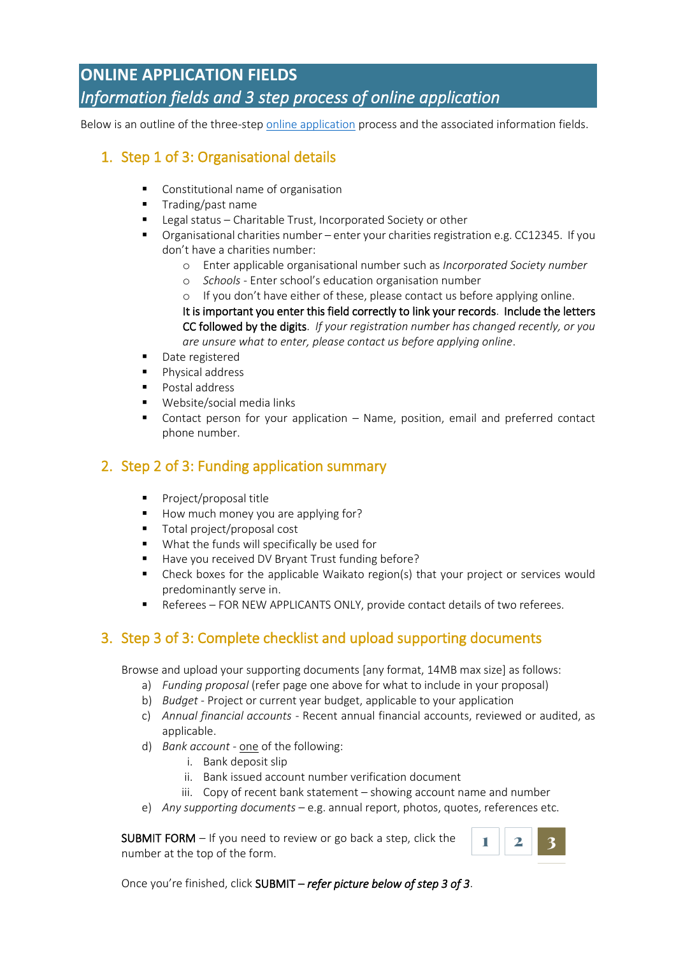## **ONLINE APPLICATION FIELDS**  *Information fields and 3 step process of online application*

Below is an outline of the three-step [online application](https://www.bryanttrust.co.nz/apply-for-community-group-funding/) process and the associated information fields.

### 1. Step 1 of 3: Organisational details

- Constitutional name of organisation
- **Trading/past name**
- Legal status Charitable Trust, Incorporated Society or other
- Organisational charities number enter your charities registration e.g. CC12345. If you don't have a charities number:
	- o Enter applicable organisational number such as *Incorporated Society number*
	- o *Schools* Enter school's education organisation number

o If you don't have either of these, please contact us before applying online. It is important you enter this field correctly to link your records. Include the letters CC followed by the digits. *If your registration number has changed recently, or you are unsure what to enter, please contact us before applying online*.

- Date registered
- Physical address
- Postal address
- Website/social media links
- Contact person for your application Name, position, email and preferred contact phone number.

### 2. Step 2 of 3: Funding application summary

- Project/proposal title
- How much money you are applying for?
- Total project/proposal cost
- What the funds will specifically be used for
- Have you received DV Bryant Trust funding before?
- Check boxes for the applicable Waikato region(s) that your project or services would predominantly serve in.
- Referees FOR NEW APPLICANTS ONLY, provide contact details of two referees.

### 3. Step 3 of 3: Complete checklist and upload supporting documents

Browse and upload your supporting documents [any format, 14MB max size] as follows:

- a) *Funding proposal* (refer page one above for what to include in your proposal)
- b) *Budget* Project or current year budget, applicable to your application
- c) *Annual financial accounts* Recent annual financial accounts, reviewed or audited, as applicable.
- d) *Bank account* one of the following:
	- i. Bank deposit slip
	- ii. Bank issued account number verification document
	- iii. Copy of recent bank statement showing account name and number
- e) *Any supporting documents* e.g. annual report, photos, quotes, references etc.

SUBMIT FORM – If you need to review or go back a step, click the number at the top of the form.



Once you're finished, click SUBMIT – *refer picture below of step 3 of 3*.